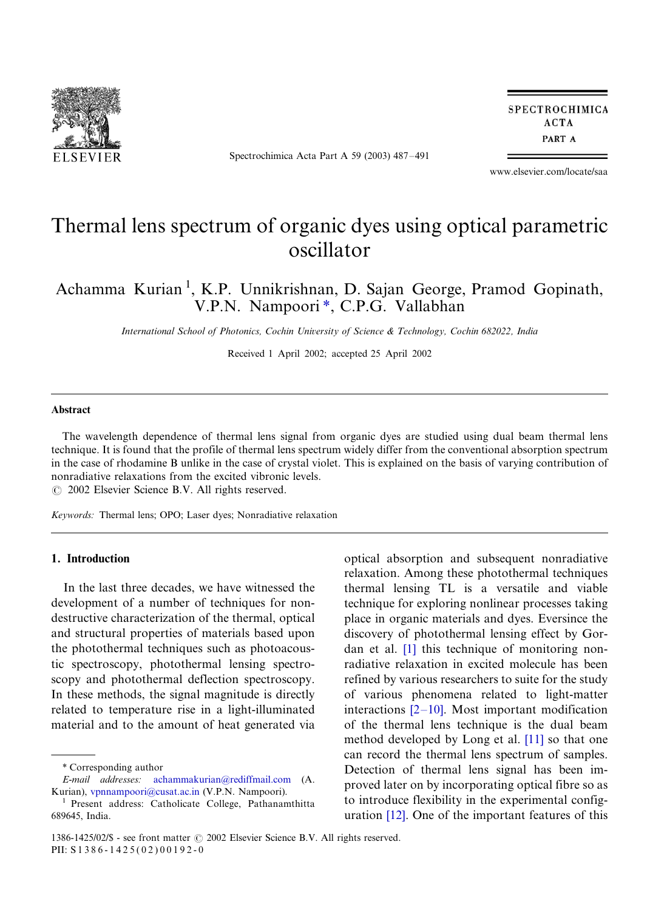

Spectrochimica Acta Part A 59 (2003) 487-491

**SPECTROCHIMICA ACTA** PART A

www.elsevier.com/locate/saa

# Thermal lens spectrum of organic dyes using optical parametric oscillator

Achamma Kurian<sup>1</sup>, K.P. Unnikrishnan, D. Sajan George, Pramod Gopinath, V.P.N. Nampoori\*, C.P.G. Vallabhan

International School of Photonics, Cochin University of Science & Technology, Cochin 682022, India

Received 1 April 2002; accepted 25 April 2002

#### Abstract

The wavelength dependence of thermal lens signal from organic dyes are studied using dual beam thermal lens technique. It is found that the profile of thermal lens spectrum widely differ from the conventional absorption spectrum in the case of rhodamine B unlike in the case of crystal violet. This is explained on the basis of varying contribution of nonradiative relaxations from the excited vibronic levels.

 $\odot$  2002 Elsevier Science B.V. All rights reserved.

Keywords: Thermal lens; OPO; Laser dyes; Nonradiative relaxation

## 1. Introduction

In the last three decades, we have witnessed the development of a number of techniques for nondestructive characterization of the thermal, optical and structural properties of materials based upon the photothermal techniques such as photoacoustic spectroscopy, photothermal lensing spectroscopy and photothermal deflection spectroscopy. In these methods, the signal magnitude is directly related to temperature rise in a light-illuminated material and to the amount of heat generated via optical absorption and subsequent nonradiative relaxation. Among these photothermal techniques thermal lensing TL is a versatile and viable technique for exploring nonlinear processes taking place in organic materials and dyes. Eversince the discovery of photothermal lensing effect by Gordan et al. [\[1\]](#page-4-0) this technique of monitoring nonradiative relaxation in excited molecule has been refined by various researchers to suite for the study of various phenomena related to light-matter interactions  $[2-10]$  $[2-10]$ . Most important modification of the thermal lens technique is the dual beam method developed by Long et al. [\[11\]](#page-4-0) so that one can record the thermal lens spectrum of samples. Detection of thermal lens signal has been improved later on by incorporating optical fibre so as to introduce flexibility in the experimental configuration [\[12\].](#page-4-0) One of the important features of this

Corresponding author

E-mail addresses: [achammakurian@rediffmail.com](mailto:achammakurian@rediffmail.com) (A. Kurian), v[pnnampoori@cusat.ac.in](mailto:vpnnampoori@cusat.ac.in) (V.P.N. Nampoori).

<sup>1</sup> Present address: Catholicate College, Pathanamthitta 689645, India.

<sup>1386-1425/02/\$ -</sup> see front matter  $\odot$  2002 Elsevier Science B.V. All rights reserved. PII: S 1 3 8 6 - 1 4 2 5 ( 0 2 ) 0 0 1 9 2 - 0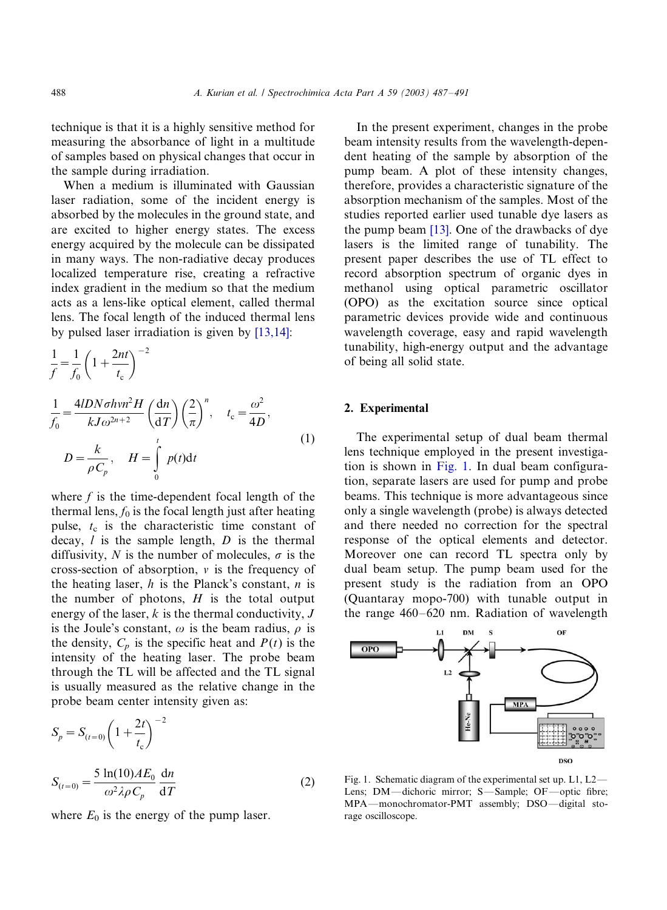technique is that it is a highly sensitive method for measuring the absorbance of light in a multitude of samples based on physical changes that occur in the sample during irradiation.

When a medium is illuminated with Gaussian laser radiation, some of the incident energy is absorbed by the molecules in the ground state, and are excited to higher energy states. The excess energy acquired by the molecule can be dissipated in many ways. The non-radiative decay produces localized temperature rise, creating a refractive index gradient in the medium so that the medium acts as a lens-like optical element, called thermal lens. The focal length of the induced thermal lens by pulsed laser irradiation is given by [\[13,14\]](#page-4-0):

$$
\frac{1}{f} = \frac{1}{f_0} \left( 1 + \frac{2nt}{t_c} \right)^{-2}
$$
\n
$$
\frac{1}{f_0} = \frac{4lDN\sigma hvn^2H}{kJ\omega^{2n+2}} \left( \frac{dn}{dT} \right) \left( \frac{2}{\pi} \right)^n, \quad t_c = \frac{\omega^2}{4D},
$$
\n
$$
D = \frac{k}{\rho C_p}, \quad H = \int_0^t p(t)dt
$$
\n(1)

where  $f$  is the time-dependent focal length of the thermal lens,  $f_0$  is the focal length just after heating pulse,  $t_c$  is the characteristic time constant of decay,  $l$  is the sample length,  $D$  is the thermal diffusivity, N is the number of molecules,  $\sigma$  is the cross-section of absorption,  $\nu$  is the frequency of the heating laser,  $h$  is the Planck's constant,  $n$  is the number of photons,  $H$  is the total output energy of the laser,  $k$  is the thermal conductivity,  $J$ is the Joule's constant,  $\omega$  is the beam radius,  $\rho$  is the density,  $C_p$  is the specific heat and  $P(t)$  is the intensity of the heating laser. The probe beam through the TL will be affected and the TL signal is usually measured as the relative change in the probe beam center intensity given as:

$$
S_p = S_{(t=0)} \left( 1 + \frac{2t}{t_c} \right)^{-2}
$$
  

$$
S_{(t=0)} = \frac{5 \ln(10)AE_0}{\omega^2 \lambda \rho C_p} \frac{dn}{dT}
$$
 (2)

where  $E_0$  is the energy of the pump laser.

In the present experiment, changes in the probe beam intensity results from the wavelength-dependent heating of the sample by absorption of the pump beam. A plot of these intensity changes, therefore, provides a characteristic signature of the absorption mechanism of the samples. Most of the studies reported earlier used tunable dye lasers as the pump beam [\[13\]](#page-4-0). One of the drawbacks of dye lasers is the limited range of tunability. The present paper describes the use of TL effect to record absorption spectrum of organic dyes in methanol using optical parametric oscillator (OPO) as the excitation source since optical parametric devices provide wide and continuous wavelength coverage, easy and rapid wavelength tunability, high-energy output and the advantage of being all solid state.

#### 2. Experimental

The experimental setup of dual beam thermal lens technique employed in the present investigation is shown in Fig. 1. In dual beam configuration, separate lasers are used for pump and probe beams. This technique is more advantageous since only a single wavelength (probe) is always detected and there needed no correction for the spectral response of the optical elements and detector. Moreover one can record TL spectra only by dual beam setup. The pump beam used for the present study is the radiation from an OPO (Quantaray mopo-700) with tunable output in the range 460–620 nm. Radiation of wavelength



Fig. 1. Schematic diagram of the experimental set up.  $L1$ ,  $L2$  – Lens; DM-dichoric mirror; S-Sample; OF-optic fibre; MPA-monochromator-PMT assembly; DSO-digital storage oscilloscope.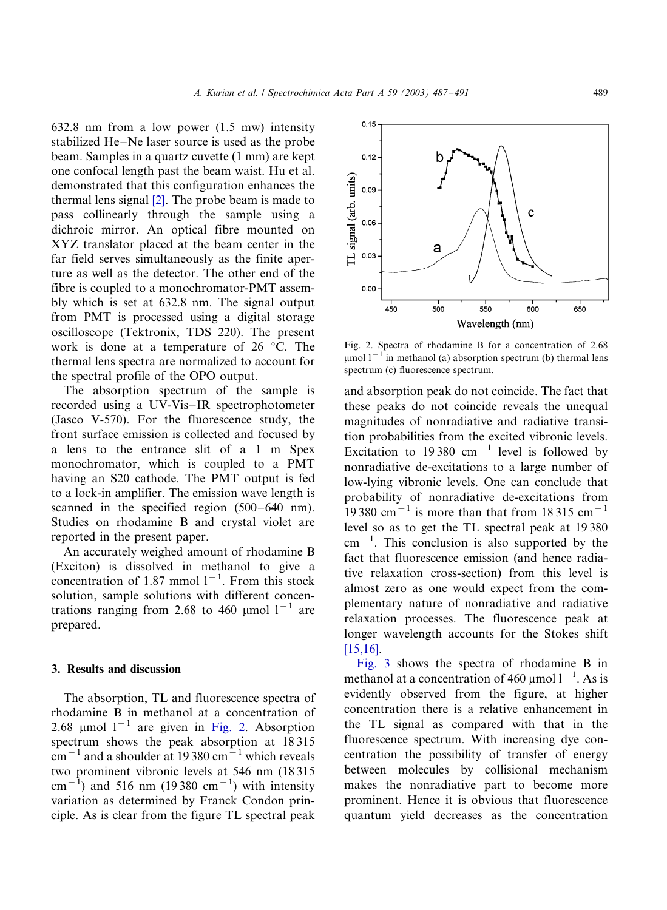632.8 nm from a low power (1.5 mw) intensity stabilized He-Ne laser source is used as the probe beam. Samples in a quartz cuvette (1 mm) are kept one confocal length past the beam waist. Hu et al. demonstrated that this configuration enhances the thermal lens signal [\[2\].](#page-4-0) The probe beam is made to pass collinearly through the sample using a dichroic mirror. An optical fibre mounted on XYZ translator placed at the beam center in the far field serves simultaneously as the finite aperture as well as the detector. The other end of the fibre is coupled to a monochromator-PMT assembly which is set at 632.8 nm. The signal output from PMT is processed using a digital storage oscilloscope (Tektronix, TDS 220). The present work is done at a temperature of  $26^{\circ}$ C. The thermal lens spectra are normalized to account for the spectral profile of the OPO output.

The absorption spectrum of the sample is recorded using a UV-Vis-IR spectrophotometer (Jasco V-570). For the fluorescence study, the front surface emission is collected and focused by a lens to the entrance slit of a 1 m Spex monochromator, which is coupled to a PMT having an S20 cathode. The PMT output is fed to a lock-in amplifier. The emission wave length is scanned in the specified region (500–640 nm). Studies on rhodamine B and crystal violet are reported in the present paper.

An accurately weighed amount of rhodamine B (Exciton) is dissolved in methanol to give a concentration of 1.87 mmol  $1^{-1}$ . From this stock solution, sample solutions with different concentrations ranging from 2.68 to 460 µmol  $1^{-1}$  are prepared.

#### 3. Results and discussion

The absorption, TL and fluorescence spectra of rhodamine B in methanol at a concentration of 2.68 µmol  $1^{-1}$  are given in Fig. 2. Absorption spectrum shows the peak absorption at 18 315  $\rm cm^{-1}$  and a shoulder at 19 380  $\rm cm^{-1}$  which reveals two prominent vibronic levels at 546 nm (18 315 cm<sup>-1</sup>) and 516 nm (19380 cm<sup>-1</sup>) with intensity variation as determined by Franck Condon principle. As is clear from the figure TL spectral peak



Fig. 2. Spectra of rhodamine B for a concentration of 2.68  $\mu$ mol l<sup>-1</sup> in methanol (a) absorption spectrum (b) thermal lens spectrum (c) fluorescence spectrum.

and absorption peak do not coincide. The fact that these peaks do not coincide reveals the unequal magnitudes of nonradiative and radiative transition probabilities from the excited vibronic levels. Excitation to 19380 cm<sup>-1</sup> level is followed by nonradiative de-excitations to a large number of low-lying vibronic levels. One can conclude that probability of nonradiative de-excitations from 19 380 cm<sup>-1</sup> is more than that from 18 315 cm<sup>-1</sup> level so as to get the TL spectral peak at 19 380  $cm^{-1}$ . This conclusion is also supported by the fact that fluorescence emission (and hence radiative relaxation cross-section) from this level is almost zero as one would expect from the complementary nature of nonradiative and radiative relaxation processes. The fluorescence peak at longer wavelength accounts for the Stokes shift [\[15,16\]](#page-4-0).

[Fig. 3](#page-3-0) shows the spectra of rhodamine B in methanol at a concentration of 460  $\mu$ mol l<sup>-1</sup>. As is evidently observed from the figure, at higher concentration there is a relative enhancement in the TL signal as compared with that in the fluorescence spectrum. With increasing dye concentration the possibility of transfer of energy between molecules by collisional mechanism makes the nonradiative part to become more prominent. Hence it is obvious that fluorescence quantum yield decreases as the concentration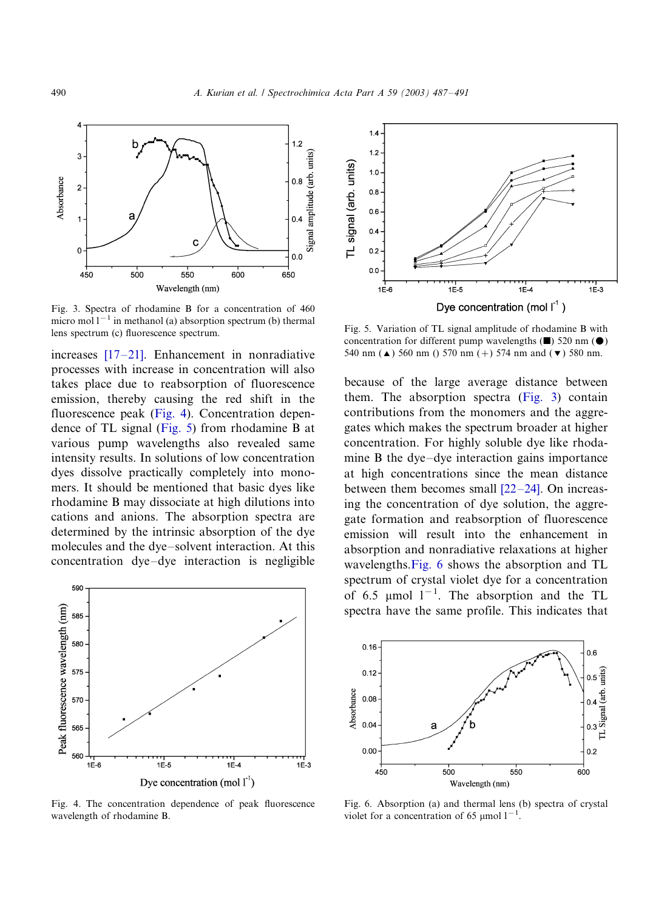<span id="page-3-0"></span>

Fig. 3. Spectra of rhodamine B for a concentration of 460 micro mol  $1^{-1}$  in methanol (a) absorption spectrum (b) thermal lens spectrum (c) fluorescence spectrum.

increases [\[17](#page-4-0)–21]. Enhancement in nonradiative processes with increase in concentration will also takes place due to reabsorption of fluorescence emission, thereby causing the red shift in the fluorescence peak (Fig. 4). Concentration dependence of TL signal (Fig. 5) from rhodamine B at various pump wavelengths also revealed same intensity results. In solutions of low concentration dyes dissolve practically completely into monomers. It should be mentioned that basic dyes like rhodamine B may dissociate at high dilutions into cations and anions. The absorption spectra are determined by the intrinsic absorption of the dye molecules and the dye-solvent interaction. At this concentration dye-dye interaction is negligible



Fig. 4. The concentration dependence of peak fluorescence wavelength of rhodamine B.



Fig. 5. Variation of TL signal amplitude of rhodamine B with concentration for different pump wavelengths  $(\blacksquare)$  520 nm  $(\lozenge)$ 540 nm ( $\triangle$ ) 560 nm () 570 nm (+) 574 nm and ( $\blacktriangledown$ ) 580 nm.

because of the large average distance between them. The absorption spectra (Fig. 3) contain contributions from the monomers and the aggregates which makes the spectrum broader at higher concentration. For highly soluble dye like rhodamine B the dye-dye interaction gains importance at high concentrations since the mean distance between them becomes small  $[22-24]$  $[22-24]$ . On increasing the concentration of dye solution, the aggregate formation and reabsorption of fluorescence emission will result into the enhancement in absorption and nonradiative relaxations at higher wavelengths.Fig. 6 shows the absorption and TL spectrum of crystal violet dye for a concentration of 6.5  $\mu$ mol 1<sup>-1</sup>. The absorption and the TL spectra have the same profile. This indicates that



Fig. 6. Absorption (a) and thermal lens (b) spectra of crystal violet for a concentration of 65  $\mu$ mol 1<sup>-1</sup>.